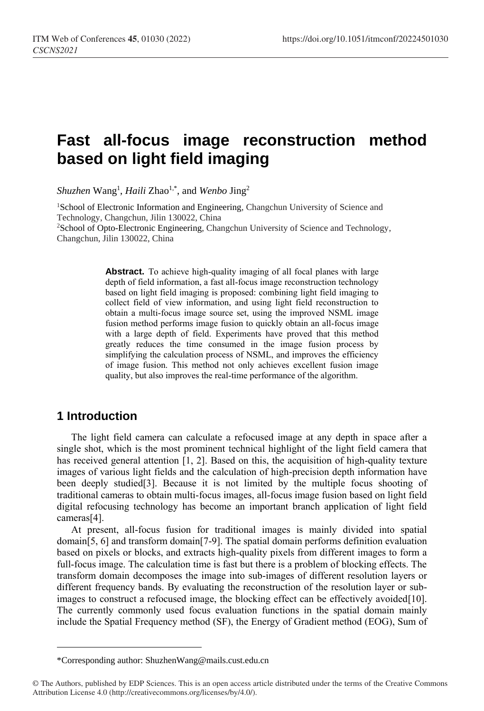# **Fast all-focus image reconstruction method based on light field imaging**

*Shuzhen* Wang<sup>1</sup> , *Haili* Zhao1,\* , and *Wenbo* Jing<sup>2</sup>

<sup>1</sup>School of Electronic Information and Engineering, Changchun University of Science and Technology, Changchun, Jilin 130022, China

<sup>2</sup>School of Opto-Electronic Engineering, Changchun University of Science and Technology, Changchun, Jilin 130022, China

> **Abstract.** To achieve high-quality imaging of all focal planes with large depth of field information, a fast all-focus image reconstruction technology based on light field imaging is proposed: combining light field imaging to collect field of view information, and using light field reconstruction to obtain a multi-focus image source set, using the improved NSML image fusion method performs image fusion to quickly obtain an all-focus image with a large depth of field. Experiments have proved that this method greatly reduces the time consumed in the image fusion process by simplifying the calculation process of NSML, and improves the efficiency of image fusion. This method not only achieves excellent fusion image quality, but also improves the real-time performance of the algorithm.

### **1 Introduction**

 $\overline{a}$ 

The light field camera can calculate a refocused image at any depth in space after a single shot, which is the most prominent technical highlight of the light field camera that has received general attention [1, 2]. Based on this, the acquisition of high-quality texture images of various light fields and the calculation of high-precision depth information have been deeply studied[3]. Because it is not limited by the multiple focus shooting of traditional cameras to obtain multi-focus images, all-focus image fusion based on light field digital refocusing technology has become an important branch application of light field cameras[4].

At present, all-focus fusion for traditional images is mainly divided into spatial domain[5, 6] and transform domain[7-9]. The spatial domain performs definition evaluation based on pixels or blocks, and extracts high-quality pixels from different images to form a full-focus image. The calculation time is fast but there is a problem of blocking effects. The transform domain decomposes the image into sub-images of different resolution layers or different frequency bands. By evaluating the reconstruction of the resolution layer or subimages to construct a refocused image, the blocking effect can be effectively avoided[10]. The currently commonly used focus evaluation functions in the spatial domain mainly include the Spatial Frequency method (SF), the Energy of Gradient method (EOG), Sum of

<sup>\*</sup>Corresponding author: ShuzhenWang@mails.cust.edu.cn

<sup>©</sup> The Authors, published by EDP Sciences. This is an open access article distributed under the terms of the Creative Commons Attribution License 4.0 (http://creativecommons.org/licenses/by/4.0/).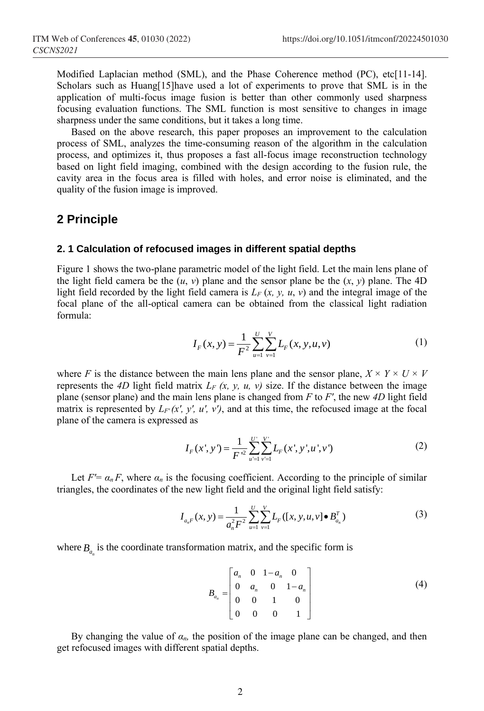Modified Laplacian method (SML), and the Phase Coherence method (PC), etc[11-14]. Scholars such as Huang[15]have used a lot of experiments to prove that SML is in the application of multi-focus image fusion is better than other commonly used sharpness focusing evaluation functions. The SML function is most sensitive to changes in image sharpness under the same conditions, but it takes a long time.

Based on the above research, this paper proposes an improvement to the calculation process of SML, analyzes the time-consuming reason of the algorithm in the calculation process, and optimizes it, thus proposes a fast all-focus image reconstruction technology based on light field imaging, combined with the design according to the fusion rule, the cavity area in the focus area is filled with holes, and error noise is eliminated, and the quality of the fusion image is improved.

### **2 Principle**

### **2. 1 Calculation of refocused images in different spatial depths**

Figure 1 shows the two-plane parametric model of the light field. Let the main lens plane of the light field camera be the  $(u, v)$  plane and the sensor plane be the  $(x, y)$  plane. The 4D light field recorded by the light field camera is  $L_F(x, y, u, y)$  and the integral image of the focal plane of the all-optical camera can be obtained from the classical light radiation formula:

$$
I_F(x, y) = \frac{1}{F^2} \sum_{u=1}^{U} \sum_{v=1}^{V} L_F(x, y, u, v)
$$
 (1)

where *F* is the distance between the main lens plane and the sensor plane,  $X \times Y \times U \times V$ represents the *4D* light field matrix  $L_F(x, y, u, v)$  size. If the distance between the image plane (sensor plane) and the main lens plane is changed from *F* to *F'*, the new *4D* light field matrix is represented by  $L_F(x, y, u, v)$ , and at this time, the refocused image at the focal plane of the camera is expressed as

$$
I_F(x', y') = \frac{1}{F'^2} \sum_{u'=1}^{U'} \sum_{\nu'=1}^{V'} L_F(x', y', u', \nu')
$$
 (2)

Let  $F' = \alpha_n F$ , where  $\alpha_n$  is the focusing coefficient. According to the principle of similar

triangles, the coordinates of the new light field and the original light field satisfy:  
\n
$$
I_{a,F}(x, y) = \frac{1}{a_n^2 F^2} \sum_{u=1}^{U} \sum_{v=1}^{V} L_F([x, y, u, v] \bullet B_{a_n}^T)
$$
\n(3)

where  $B_{a_n}$  is the coordinate transformation matrix, and the specific form is

$$
B_{a_n} = \begin{bmatrix} a_n & 0 & 1 - a_n & 0 \\ 0 & a_n & 0 & 1 - a_n \\ 0 & 0 & 1 & 0 \\ 0 & 0 & 0 & 1 \end{bmatrix}
$$
 (4)

By changing the value of  $\alpha_n$ , the position of the image plane can be changed, and then get refocused images with different spatial depths.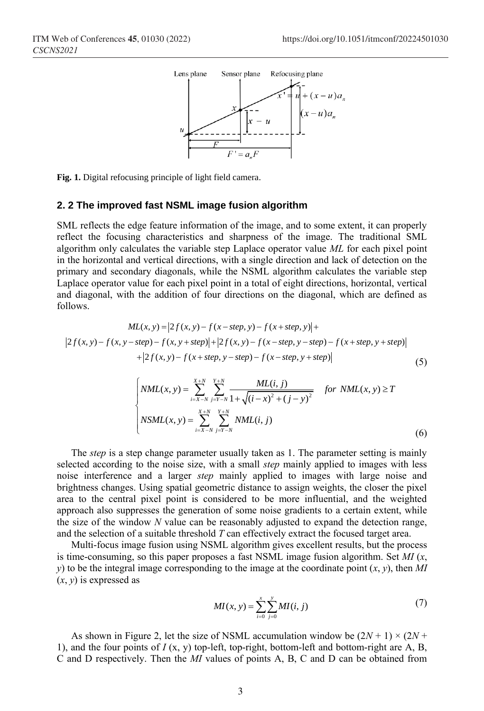

**Fig. 1.** Digital refocusing principle of light field camera.

#### **2. 2 The improved fast NSML image fusion algorithm**

SML reflects the edge feature information of the image, and to some extent, it can properly reflect the focusing characteristics and sharpness of the image. The traditional SML algorithm only calculates the variable step Laplace operator value *ML* for each pixel point in the horizontal and vertical directions, with a single direction and lack of detection on the primary and secondary diagonals, while the NSML algorithm calculates the variable step Laplace operator value for each pixel point in a total of eight directions, horizontal, vertical Laplace operator value for each pixel point in a total of eight directions, norizontal, vertical and diagonal, with the addition of four directions on the diagonal, which are defined as follows.<br>  $ML(x, y) = |2f(x, y) - f(x - step, y) - f(x$ follows.

Thus, with the statement of both directions on the angular, which are defined as

\n
$$
ML(x, y) = |2f(x, y) - f(x - step, y) - f(x + step, y)| +
$$
\n
$$
|2f(x, y) - f(x, y - step) - f(x, y + step)| + |2f(x, y) - f(x - step, y - step) - f(x + step, y + step)|
$$
\n
$$
+ |2f(x, y) - f(x + step, y - step) - f(x - step, y + step)|
$$
\n(5)

step) – 
$$
f(x, y + step)
$$
 +  $|2f(x, y) - f(x - step, y - step)$  –  $f(x + step, y + step)$   
+  $|2f(x, y) - f(x + step, y - step)$  –  $f(x - step, y + step)$  | (5)  

$$
\begin{cases} NML(x, y) = \sum_{i=X-N}^{X+N} \sum_{j=Y-N}^{Y+N} \frac{ML(i, j)}{1 + \sqrt{(i - x)^2 + (j - y)^2}} & \text{for } NML(x, y) \ge T\\ NSML(x, y) = \sum_{i=X-N}^{X+N} \sum_{j=Y-N}^{Y+N} NML(i, j) & (6) \end{cases}
$$

The *step* is a step change parameter usually taken as 1. The parameter setting is mainly selected according to the noise size, with a small *step* mainly applied to images with less noise interference and a larger *step* mainly applied to images with large noise and brightness changes. Using spatial geometric distance to assign weights, the closer the pixel area to the central pixel point is considered to be more influential, and the weighted approach also suppresses the generation of some noise gradients to a certain extent, while the size of the window *N* value can be reasonably adjusted to expand the detection range, and the selection of a suitable threshold *T* can effectively extract the focused target area.

Multi-focus image fusion using NSML algorithm gives excellent results, but the process is time-consuming, so this paper proposes a fast NSML image fusion algorithm. Set *MI* (*x*, *y*) to be the integral image corresponding to the image at the coordinate point  $(x, y)$ , then *MI* (*x*, *y*) is expressed as

$$
MI(x, y) = \sum_{i=0}^{x} \sum_{j=0}^{y} MI(i, j)
$$
 (7)

As shown in Figure 2, let the size of NSML accumulation window be  $(2N + 1) \times (2N + 1)$ 1), and the four points of  $I(x, y)$  top-left, top-right, bottom-left and bottom-right are A, B, C and D respectively. Then the *MI* values of points A, B, C and D can be obtained from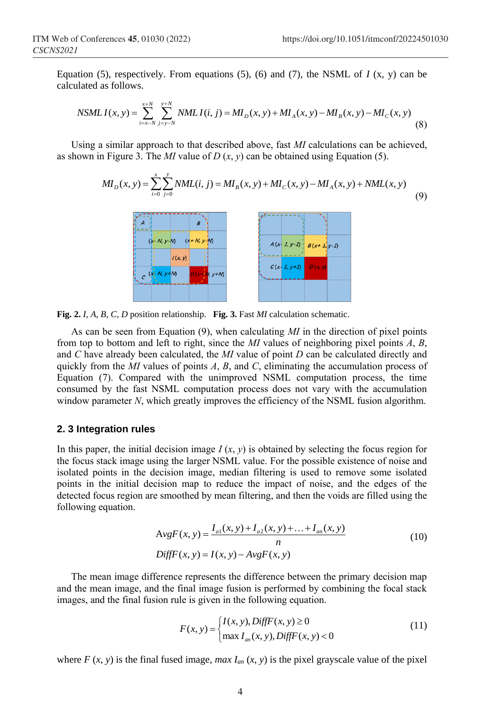calculated as follows. *x* + *N y* + *N y* + *N* 

Equation (5), respectively. From equations (5), (6) and (7), the NSML of *I* (x, y) can be calculated as follows.  
\n*NSMLI*(x, y) = 
$$
\sum_{i=x-N}^{x+N} \sum_{j=y-N}^{y+N} NMLI(i, j) = MI_D(x, y) + MI_A(x, y) - MI_B(x, y) - MI_C(x, y)
$$
\n(8)

Using a similar approach to that described above, fast *MI* calculations can be achieved,

Using a similar approach to that described above, fast *MI* calculations can be achieved,  
as shown in Figure 3. The *MI* value of *D* (*x*, *y*) can be obtained using Equation (5).  

$$
MI_D(x, y) = \sum_{i=0}^{x} \sum_{j=0}^{y} NML(i, j) = MI_B(x, y) + MI_C(x, y) - MI_A(x, y) + NML(x, y)
$$
(9)



**Fig. 2.** *I*, *A*, *B*, *C*, *D* position relationship. **Fig. 3.** Fast *MI* calculation schematic.

As can be seen from Equation (9), when calculating *MI* in the direction of pixel points from top to bottom and left to right, since the *MI* values of neighboring pixel points *A*, *B*, and *C* have already been calculated, the *MI* value of point *D* can be calculated directly and quickly from the *MI* values of points *A*, *B*, and *C*, eliminating the accumulation process of Equation (7). Compared with the unimproved NSML computation process, the time consumed by the fast NSML computation process does not vary with the accumulation window parameter *N*, which greatly improves the efficiency of the NSML fusion algorithm.

#### **2. 3 Integration rules**

In this paper, the initial decision image  $I(x, y)$  is obtained by selecting the focus region for the focus stack image using the larger NSML value. For the possible existence of noise and isolated points in the decision image, median filtering is used to remove some isolated points in the initial decision map to reduce the impact of noise, and the edges of the detected focus region are smoothed by mean filtering, and then the voids are filled using the following equation.

$$
AvgF(x, y) = \frac{I_{a1}(x, y) + I_{a2}(x, y) + ... + I_{an}(x, y)}{n}
$$
  
DiffF(x, y) = I(x, y) - AvgF(x, y) (10)

The mean image difference represents the difference between the primary decision map and the mean image, and the final image fusion is performed by combining the focal stack images, and the final fusion rule is given in the following equation.

$$
F(x, y) = \begin{cases} I(x, y), DiffF(x, y) \ge 0 \\ \max I_{an}(x, y), DiffF(x, y) < 0 \end{cases}
$$
(11)

where  $F(x, y)$  is the final fused image, *max*  $I_{an}(x, y)$  is the pixel grayscale value of the pixel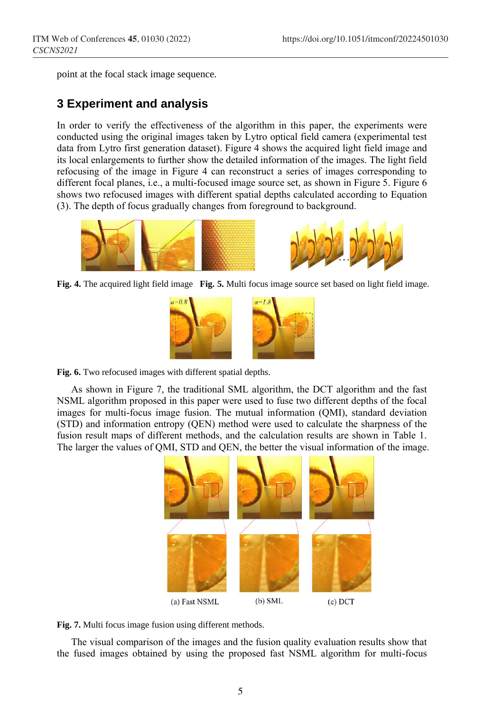point at the focal stack image sequence.

## **3 Experiment and analysis**

In order to verify the effectiveness of the algorithm in this paper, the experiments were conducted using the original images taken by Lytro optical field camera (experimental test data from Lytro first generation dataset). Figure 4 shows the acquired light field image and its local enlargements to further show the detailed information of the images. The light field refocusing of the image in Figure 4 can reconstruct a series of images corresponding to different focal planes, i.e., a multi-focused image source set, as shown in Figure 5. Figure 6 shows two refocused images with different spatial depths calculated according to Equation (3). The depth of focus gradually changes from foreground to background.



**Fig. 4.** The acquired light field image **Fig. 5.** Multi focus image source set based on light field image.



**Fig. 6.** Two refocused images with different spatial depths.

As shown in Figure 7, the traditional SML algorithm, the DCT algorithm and the fast NSML algorithm proposed in this paper were used to fuse two different depths of the focal images for multi-focus image fusion. The mutual information (QMI), standard deviation (STD) and information entropy (QEN) method were used to calculate the sharpness of the fusion result maps of different methods, and the calculation results are shown in Table 1. The larger the values of QMI, STD and QEN, the better the visual information of the image.



**Fig. 7.** Multi focus image fusion using different methods.

The visual comparison of the images and the fusion quality evaluation results show that the fused images obtained by using the proposed fast NSML algorithm for multi-focus